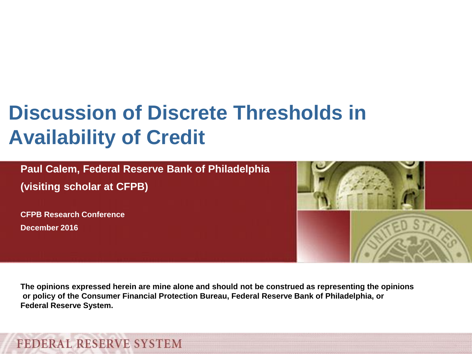# **Discussion of Discrete Thresholds in Availability of Credit**

**Paul Calem, Federal Reserve Bank of Philadelphia (visiting scholar at CFPB)**

**CFPB Research Conference December 2016**



**The opinions expressed herein are mine alone and should not be construed as representing the opinions or policy of the Consumer Financial Protection Bureau, Federal Reserve Bank of Philadelphia, or Federal Reserve System.**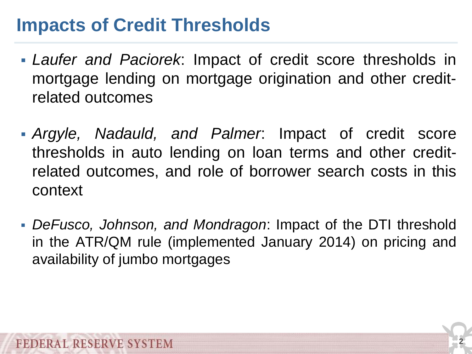#### **Impacts of Credit Thresholds**

- *Laufer and Paciorek*: Impact of credit score thresholds in mortgage lending on mortgage origination and other creditrelated outcomes
- *Argyle, Nadauld, and Palmer*: Impact of credit score thresholds in auto lending on loan terms and other creditrelated outcomes, and role of borrower search costs in this context
- *DeFusco, Johnson, and Mondragon*: Impact of the DTI threshold in the ATR/QM rule (implemented January 2014) on pricing and availability of jumbo mortgages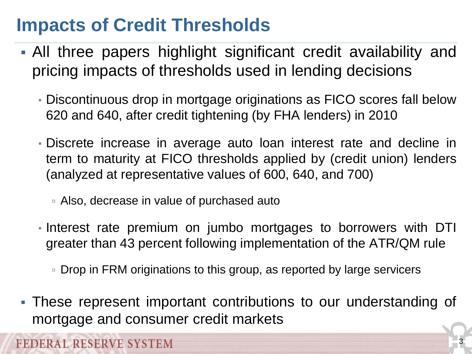#### **Impacts of Credit Thresholds**

- All three papers highlight significant credit availability and pricing impacts of thresholds used in lending decisions
	- Discontinuous drop in mortgage originations as FICO scores fall below 620 and 640, after credit tightening (by FHA lenders) in 2010
	- Discrete increase in average auto loan interest rate and decline in term to maturity at FICO thresholds applied by (credit union) lenders (analyzed at representative values of 600, 640, and 700)
		- Also, decrease in value of purchased auto
	- Interest rate premium on jumbo mortgages to borrowers with DTI greater than 43 percent following implementation of the ATR/QM rule
		- Drop in FRM originations to this group, as reported by large servicers
- These represent important contributions to our understanding of mortgage and consumer credit markets

**3**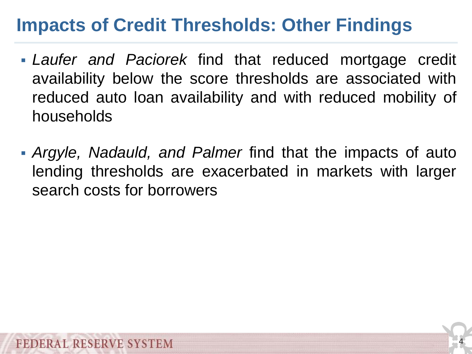### **Impacts of Credit Thresholds: Other Findings**

- *Laufer and Paciorek* find that reduced mortgage credit availability below the score thresholds are associated with reduced auto loan availability and with reduced mobility of households
- *Argyle, Nadauld, and Palmer* find that the impacts of auto lending thresholds are exacerbated in markets with larger search costs for borrowers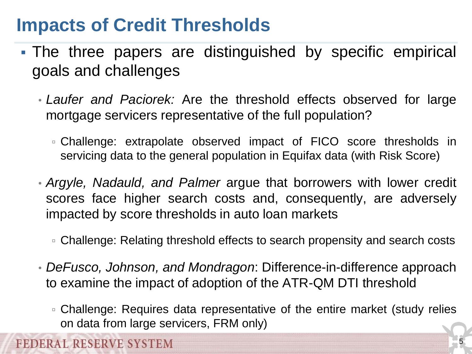#### **Impacts of Credit Thresholds**

**BEDERAL RESERVE SYSTEM** 

- The three papers are distinguished by specific empirical goals and challenges
	- *Laufer and Paciorek:* Are the threshold effects observed for large mortgage servicers representative of the full population?
		- Challenge: extrapolate observed impact of FICO score thresholds in servicing data to the general population in Equifax data (with Risk Score)
	- *Argyle, Nadauld, and Palmer* argue that borrowers with lower credit scores face higher search costs and, consequently, are adversely impacted by score thresholds in auto loan markets
		- □ Challenge: Relating threshold effects to search propensity and search costs
	- *DeFusco, Johnson, and Mondragon*: Difference-in-difference approach to examine the impact of adoption of the ATR-QM DTI threshold
		- Challenge: Requires data representative of the entire market (study relies on data from large servicers, FRM only)

**5**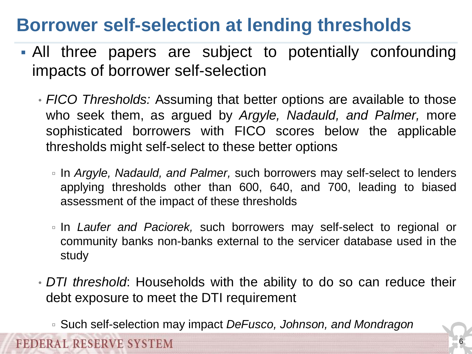#### **Borrower self-selection at lending thresholds**

- All three papers are subject to potentially confounding impacts of borrower self-selection
	- *FICO Thresholds:* Assuming that better options are available to those who seek them, as argued by *Argyle, Nadauld, and Palmer,* more sophisticated borrowers with FICO scores below the applicable thresholds might self-select to these better options
		- In *Argyle, Nadauld, and Palmer,* such borrowers may self-select to lenders applying thresholds other than 600, 640, and 700, leading to biased assessment of the impact of these thresholds
		- In *Laufer and Paciorek,* such borrowers may self-select to regional or community banks non-banks external to the servicer database used in the study
	- *DTI threshold*: Households with the ability to do so can reduce their debt exposure to meet the DTI requirement
		- Such self-selection may impact *DeFusco, Johnson, and Mondragon*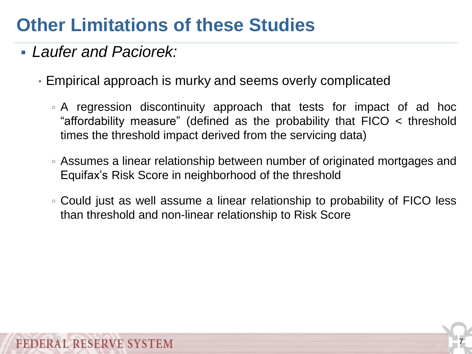*Laufer and Paciorek:*

- Empirical approach is murky and seems overly complicated
	- A regression discontinuity approach that tests for impact of ad hoc "affordability measure" (defined as the probability that FICO < threshold times the threshold impact derived from the servicing data)
	- Assumes a linear relationship between number of originated mortgages and Equifax's Risk Score in neighborhood of the threshold
	- Could just as well assume a linear relationship to probability of FICO less than threshold and non-linear relationship to Risk Score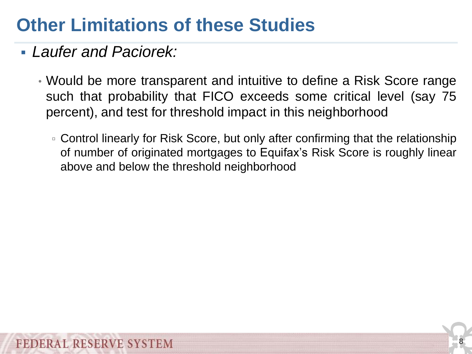- *Laufer and Paciorek:*
	- Would be more transparent and intuitive to define a Risk Score range such that probability that FICO exceeds some critical level (say 75 percent), and test for threshold impact in this neighborhood
		- Control linearly for Risk Score, but only after confirming that the relationship of number of originated mortgages to Equifax's Risk Score is roughly linear above and below the threshold neighborhood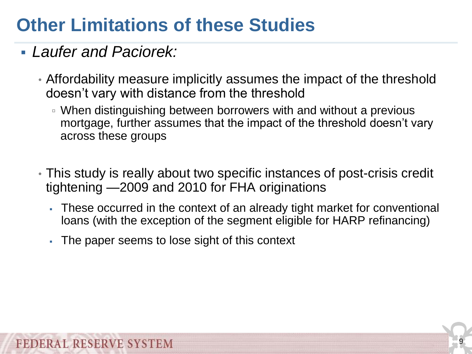#### *Laufer and Paciorek:*

- Affordability measure implicitly assumes the impact of the threshold doesn't vary with distance from the threshold
	- When distinguishing between borrowers with and without a previous mortgage, further assumes that the impact of the threshold doesn't vary across these groups
- This study is really about two specific instances of post-crisis credit tightening —2009 and 2010 for FHA originations
	- These occurred in the context of an already tight market for conventional loans (with the exception of the segment eligible for HARP refinancing)
	- The paper seems to lose sight of this context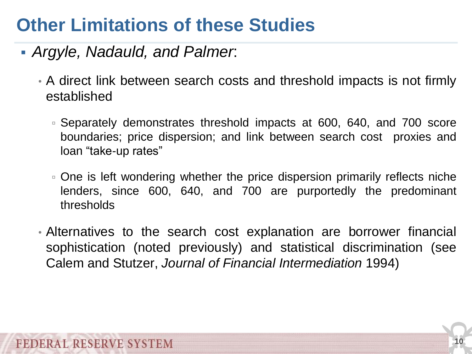- *Argyle, Nadauld, and Palmer*:
	- A direct link between search costs and threshold impacts is not firmly established
		- Separately demonstrates threshold impacts at 600, 640, and 700 score boundaries; price dispersion; and link between search cost proxies and loan "take-up rates"
		- One is left wondering whether the price dispersion primarily reflects niche lenders, since 600, 640, and 700 are purportedly the predominant thresholds
	- Alternatives to the search cost explanation are borrower financial sophistication (noted previously) and statistical discrimination (see Calem and Stutzer, *Journal of Financial Intermediation* 1994)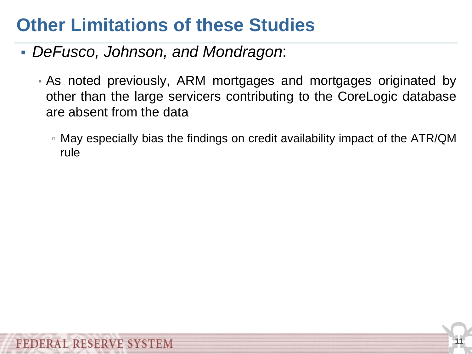- *DeFusco, Johnson, and Mondragon*:
	- As noted previously, ARM mortgages and mortgages originated by other than the large servicers contributing to the CoreLogic database are absent from the data
		- May especially bias the findings on credit availability impact of the ATR/QM rule